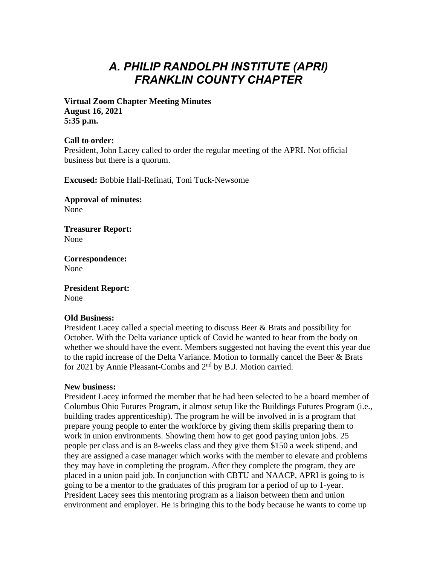## *A. PHILIP RANDOLPH INSTITUTE (APRI) FRANKLIN COUNTY CHAPTER*

**Virtual Zoom Chapter Meeting Minutes August 16, 2021 5:35 p.m.**

#### **Call to order:**

President, John Lacey called to order the regular meeting of the APRI. Not official business but there is a quorum.

**Excused:** Bobbie Hall-Refinati, Toni Tuck-Newsome

**Approval of minutes:** None

**Treasurer Report:** None

**Correspondence:** None

**President Report:** None

#### **Old Business:**

President Lacey called a special meeting to discuss Beer & Brats and possibility for October. With the Delta variance uptick of Covid he wanted to hear from the body on whether we should have the event. Members suggested not having the event this year due to the rapid increase of the Delta Variance. Motion to formally cancel the Beer & Brats for 2021 by Annie Pleasant-Combs and  $2<sup>nd</sup>$  by B.J. Motion carried.

### **New business:**

President Lacey informed the member that he had been selected to be a board member of Columbus Ohio Futures Program, it almost setup like the Buildings Futures Program (i.e., building trades apprenticeship). The program he will be involved in is a program that prepare young people to enter the workforce by giving them skills preparing them to work in union environments. Showing them how to get good paying union jobs. 25 people per class and is an 8-weeks class and they give them \$150 a week stipend, and they are assigned a case manager which works with the member to elevate and problems they may have in completing the program. After they complete the program, they are placed in a union paid job. In conjunction with CBTU and NAACP, APRI is going to is going to be a mentor to the graduates of this program for a period of up to 1-year. President Lacey sees this mentoring program as a liaison between them and union environment and employer. He is bringing this to the body because he wants to come up